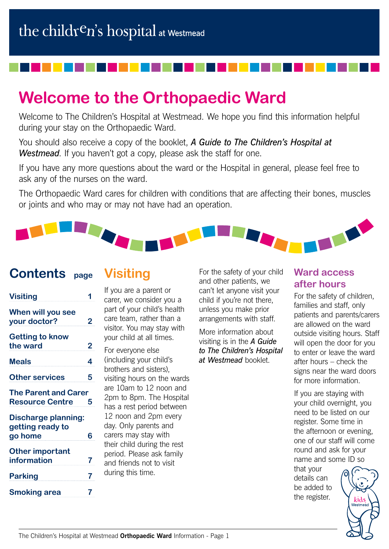# **Welcome to the Orthopaedic Ward**

Welcome to The Children's Hospital at Westmead. We hope you find this information helpful during your stay on the Orthopaedic Ward.

You should also receive a copy of the booklet, *A Guide to The Children's Hospital at Westmead*. If you haven't got a copy, please ask the staff for one.

If you have any more questions about the ward or the Hospital in general, please feel free to ask any of the nurses on the ward.

The Orthopaedic Ward cares for children with conditions that are affecting their bones, muscles or joints and who may or may not have had an operation.



### **Contents page**

## **Visiting**

| <b>Visiting</b>                                           |                         |
|-----------------------------------------------------------|-------------------------|
| When will you see<br>your doctor?                         | 2                       |
| <b>Getting to know</b><br>the ward                        | $\overline{\mathbf{c}}$ |
| <b>Meals</b>                                              | 4                       |
| <b>Other services</b>                                     | 5                       |
| <b>The Parent and Carer</b><br><b>Resource Centre</b>     | 5                       |
| <b>Discharge planning:</b><br>getting ready to<br>go home | 6                       |
| <b>Other important</b><br>information                     | 7                       |
| <b>Parking</b>                                            | 7                       |
| Smoking area                                              |                         |

If you are a parent or carer, we consider you a part of your child's health care team, rather than a visitor. You may stay with your child at all times.

For everyone else (including your child's brothers and sisters), visiting hours on the wards are 10am to 12 noon and 2pm to 8pm. The Hospital has a rest period between 12 noon and 2pm every day. Only parents and carers may stay with their child during the rest period. Please ask family and friends not to visit during this time.

For the safety of your child and other patients, we can't let anyone visit your child if you're not there, unless you make prior arrangements with staff.

More information about visiting is in the *A Guide to The Children's Hospital at Westmead* booklet.

#### **Ward access after hours**

For the safety of children, families and staff, only patients and parents/carers are allowed on the ward outside visiting hours. Staff will open the door for you to enter or leave the ward after hours – check the signs near the ward doors for more information.

If you are staying with your child overnight, you need to be listed on our register. Some time in the afternoon or evening, one of our staff will come round and ask for your name and some ID so

that your details can be added to the register.

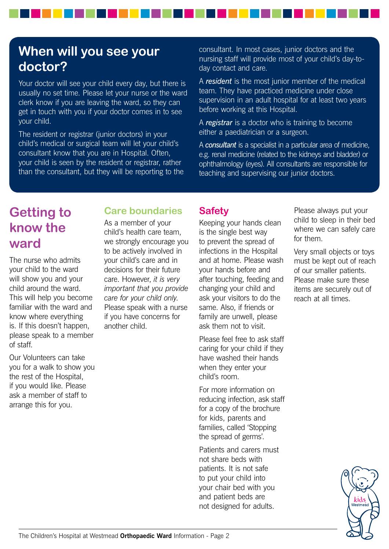## **When will you see your doctor?**

Your doctor will see your child every day, but there is usually no set time. Please let your nurse or the ward clerk know if you are leaving the ward, so they can get in touch with you if your doctor comes in to see your child.

The resident or registrar (junior doctors) in your child's medical or surgical team will let your child's consultant know that you are in Hospital. Often, your child is seen by the resident or registrar, rather than the consultant, but they will be reporting to the consultant. In most cases, junior doctors and the nursing staff will provide most of your child's day-today contact and care.

A *resident* is the most junior member of the medical team. They have practiced medicine under close supervision in an adult hospital for at least two years before working at this Hospital.

A *registrar* is a doctor who is training to become either a paediatrician or a surgeon.

A *consultant* is a specialist in a particular area of medicine, e.g. renal medicine (related to the kidneys and bladder) or ophthalmology (eyes). All consultants are responsible for teaching and supervising our junior doctors.

## **Getting to know the ward**

The nurse who admits your child to the ward will show you and your child around the ward. This will help you become familiar with the ward and know where everything is. If this doesn't happen, please speak to a member of staff.

Our Volunteers can take you for a walk to show you the rest of the Hospital, if you would like. Please ask a member of staff to arrange this for you.

### **Care boundaries**

As a member of your child's health care team, we strongly encourage you to be actively involved in your child's care and in decisions for their future care. However, *it is very important that you provide care for your child only*. Please speak with a nurse if you have concerns for another child.

#### **Safety**

Keeping your hands clean is the single best way to prevent the spread of infections in the Hospital and at home. Please wash your hands before and after touching, feeding and changing your child and ask your visitors to do the same. Also, if friends or family are unwell, please ask them not to visit.

Please feel free to ask staff caring for your child if they have washed their hands when they enter your child's room.

For more information on reducing infection, ask staff for a copy of the brochure for kids, parents and families, called 'Stopping the spread of germs'.

Patients and carers must not share beds with patients. It is not safe to put your child into your chair bed with you and patient beds are not designed for adults.

Please always put your child to sleep in their bed where we can safely care for them.

Very small objects or toys must be kept out of reach of our smaller patients. Please make sure these items are securely out of reach at all times.

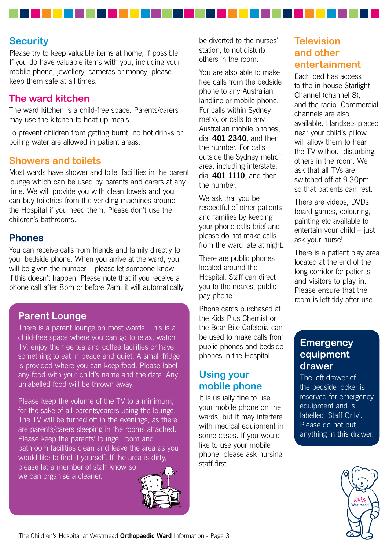#### **Security**

Please try to keep valuable items at home, if possible. If you do have valuable items with you, including your mobile phone, jewellery, cameras or money, please keep them safe at all times.

#### **The ward kitchen**

The ward kitchen is a child-free space. Parents/carers may use the kitchen to heat up meals.

To prevent children from getting burnt, no hot drinks or boiling water are allowed in patient areas.

#### **Showers and toilets**

Most wards have shower and toilet facilities in the parent lounge which can be used by parents and carers at any time. We will provide you with clean towels and you can buy toiletries from the vending machines around the Hospital if you need them. Please don't use the children's bathrooms.

#### **Phones**

You can receive calls from friends and family directly to your bedside phone. When you arrive at the ward, you will be given the number – please let someone know if this doesn't happen. Please note that if you receive a phone call after 8pm or before 7am, it will automatically

#### **Parent Lounge**

There is a parent lounge on most wards. This is a child-free space where you can go to relax, watch TV, enjoy the free tea and coffee facilities or have something to eat in peace and quiet. A small fridge is provided where you can keep food. Please label any food with your child's name and the date. Any unlabelled food will be thrown away.

Please keep the volume of the TV to a minimum, for the sake of all parents/carers using the lounge. The TV will be turned off in the evenings, as there are parents/carers sleeping in the rooms attached. Please keep the parents' lounge, room and bathroom facilities clean and leave the area as you would like to find it yourself. If the area is dirty, please let a member of staff know so we can organise a cleaner.



be diverted to the nurses' station, to not disturb others in the room.

You are also able to make free calls from the bedside phone to any Australian landline or mobile phone. For calls within Sydney metro, or calls to any Australian mobile phones, dial **401 2340**, and then the number. For calls outside the Sydney metro area, including interstate, dial **401 1110**, and then the number.

We ask that you be respectful of other patients and families by keeping your phone calls brief and please do not make calls from the ward late at night.

There are public phones located around the Hospital. Staff can direct you to the nearest public pay phone.

Phone cards purchased at the Kids Plus Chemist or the Bear Bite Cafeteria can be used to make calls from public phones and bedside phones in the Hospital.

#### **Using your mobile phone**

It is usually fine to use your mobile phone on the wards, but it may interfere with medical equipment in some cases. If you would like to use your mobile phone, please ask nursing staff first.

#### **Television and other entertainment**

Each bed has access to the in-house Starlight Channel (channel 8), and the radio. Commercial channels are also available. Handsets placed near your child's pillow will allow them to hear the TV without disturbing others in the room. We ask that all TVs are switched off at 9.30pm so that patients can rest.

There are videos, DVDs, board games, colouring, painting etc available to entertain your child – just ask your nurse!

There is a patient play area located at the end of the long corridor for patients and visitors to play in. Please ensure that the room is left tidy after use.

#### **Emergency equipment drawer**

The left drawer of the bedside locker is reserved for emergency equipment and is labelled 'Staff Only'. Please do not put anything in this drawer.



The Children's Hospital at Westmead **Orthopaedic Ward** Information - Page 3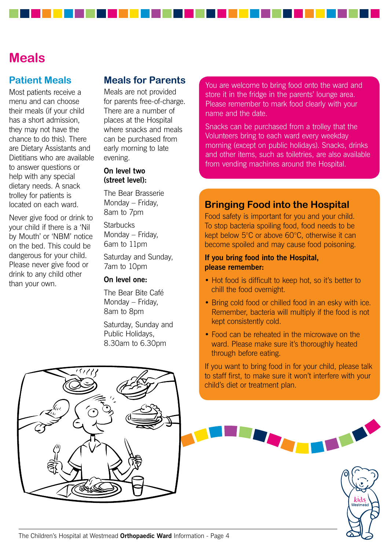### **Meals**

#### **Patient Meals**

Most patients receive a menu and can choose their meals (if your child has a short admission, they may not have the chance to do this). There are Dietary Assistants and Dietitians who are available to answer questions or help with any special dietary needs. A snack trolley for patients is located on each ward.

Never give food or drink to your child if there is a 'Nil by Mouth' or 'NBM' notice on the bed. This could be dangerous for your child. Please never give food or drink to any child other than your own.

#### **Meals for Parents**

Meals are not provided for parents free-of-charge. There are a number of places at the Hospital where snacks and meals can be purchased from early morning to late evening.

#### **On level two (street level):**

The Bear Brasserie Monday – Friday, 8am to 7pm

**Starbucks** Monday – Friday, 6am to 11pm

Saturday and Sunday, 7am to 10pm

#### **On level one:**

The Bear Bite Café Monday – Friday, 8am to 8pm

Saturday, Sunday and Public Holidays, 8.30am to 6.30pm

You are welcome to bring food onto the ward and store it in the fridge in the parents' lounge area. Please remember to mark food clearly with your name and the date.

Snacks can be purchased from a trolley that the Volunteers bring to each ward every weekday morning (except on public holidays). Snacks, drinks and other items, such as toiletries, are also available from vending machines around the Hospital.

#### **Bringing Food into the Hospital**

Food safety is important for you and your child. To stop bacteria spoiling food, food needs to be kept below 5°C or above 60°C, otherwise it can become spoiled and may cause food poisoning.

#### **If you bring food into the Hospital, please remember:**

- Hot food is difficult to keep hot, so it's better to chill the food overnight.
- Bring cold food or chilled food in an esky with ice. Remember, bacteria will multiply if the food is not kept consistently cold.
- Food can be reheated in the microwave on the ward. Please make sure it's thoroughly heated through before eating.

If you want to bring food in for your child, please talk to staff first, to make sure it won't interfere with your child's diet or treatment plan.

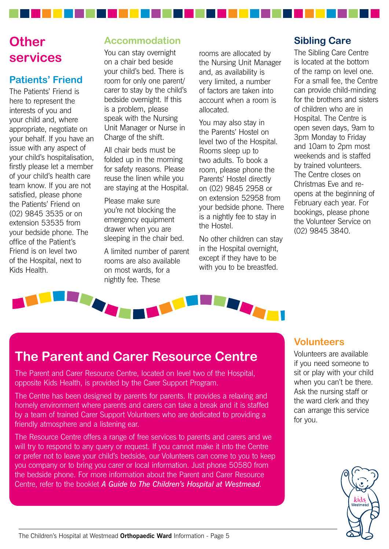## **Other services**

### **Patients' Friend**

The Patients' Friend is here to represent the interests of you and your child and, where appropriate, negotiate on your behalf. If you have an issue with any aspect of your child's hospitalisation, firstly please let a member of your child's health care team know. If you are not satisfied, please phone the Patients' Friend on (02) 9845 3535 or on extension 53535 from your bedside phone. The office of the Patient's Friend is on level two of the Hospital, next to Kids Health.

### **Accommodation**

You can stay overnight on a chair bed beside your child's bed. There is room for only one parent/ carer to stay by the child's bedside overnight. If this is a problem, please speak with the Nursing Unit Manager or Nurse in Charge of the shift.

All chair beds must be folded up in the morning for safety reasons. Please reuse the linen while you are staying at the Hospital.

Please make sure you're not blocking the emergency equipment drawer when you are sleeping in the chair bed.

A limited number of parent rooms are also available on most wards, for a nightly fee. These

rooms are allocated by the Nursing Unit Manager and, as availability is very limited, a number of factors are taken into account when a room is allocated.

You may also stay in the Parents' Hostel on level two of the Hospital. Rooms sleep up to two adults. To book a room, please phone the Parents' Hostel directly on (02) 9845 2958 or on extension 52958 from your bedside phone. There is a nightly fee to stay in the Hostel.

No other children can stay in the Hospital overnight, except if they have to be with you to be breastfed.

### **Sibling Care**

The Sibling Care Centre is located at the bottom of the ramp on level one. For a small fee, the Centre can provide child-minding for the brothers and sisters of children who are in Hospital. The Centre is open seven days, 9am to 3pm Monday to Friday and 10am to 2pm most weekends and is staffed by trained volunteers. The Centre closes on Christmas Eve and reopens at the beginning of February each year. For bookings, please phone the Volunteer Service on (02) 9845 3840.



## **The Parent and Carer Resource Centre**

The Parent and Carer Resource Centre, located on level two of the Hospital, opposite Kids Health, is provided by the Carer Support Program.

The Centre has been designed by parents for parents. It provides a relaxing and homely environment where parents and carers can take a break and it is staffed by a team of trained Carer Support Volunteers who are dedicated to providing a friendly atmosphere and a listening ear.

The Resource Centre offers a range of free services to parents and carers and we will try to respond to any query or request. If you cannot make it into the Centre or prefer not to leave your child's bedside, our Volunteers can come to you to keep you company or to bring you carer or local information. Just phone 50580 from the bedside phone. For more information about the Parent and Carer Resource Centre, refer to the booklet *A Guide to The Children's Hospital at Westmead*.

#### **Volunteers**

Volunteers are available if you need someone to sit or play with your child when you can't be there. Ask the nursing staff or the ward clerk and they can arrange this service for you.

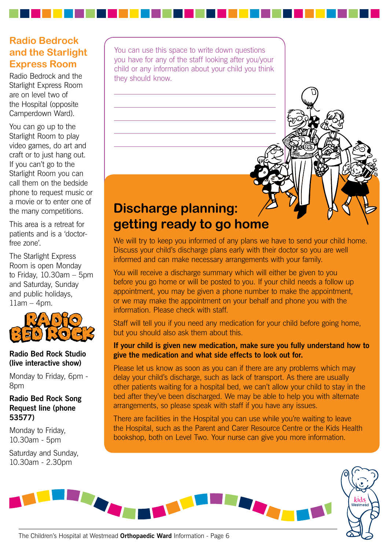### **Radio Bedrock and the Starlight Express Room**

Radio Bedrock and the Starlight Express Room are on level two of the Hospital (opposite Camperdown Ward).

You can go up to the Starlight Room to play video games, do art and craft or to just hang out. If you can't go to the Starlight Room you can call them on the bedside phone to request music or a movie or to enter one of the many competitions.

This area is a retreat for patients and is a 'doctorfree zone'.

The Starlight Express Room is open Monday to Friday, 10.30am – 5pm and Saturday, Sunday and public holidays, 11am – 4pm.



#### **Radio Bed Rock Studio (live interactive show)**

Monday to Friday, 6pm - 8pm

#### **Radio Bed Rock Song Request line (phone 53577)**

Monday to Friday, 10.30am - 5pm

Saturday and Sunday, 10.30am - 2.30pm

You can use this space to write down questions you have for any of the staff looking after you/your child or any information about your child you think they should know.

## **Discharge planning: getting ready to go home**

We will try to keep you informed of any plans we have to send your child home. Discuss your child's discharge plans early with their doctor so you are well informed and can make necessary arrangements with your family.

You will receive a discharge summary which will either be given to you before you go home or will be posted to you. If your child needs a follow up appointment, you may be given a phone number to make the appointment, or we may make the appointment on your behalf and phone you with the information. Please check with staff.

Staff will tell you if you need any medication for your child before going home, but you should also ask them about this.

#### **If your child is given new medication, make sure you fully understand how to give the medication and what side effects to look out for.**

Please let us know as soon as you can if there are any problems which may delay your child's discharge, such as lack of transport. As there are usually other patients waiting for a hospital bed, we can't allow your child to stay in the bed after they've been discharged. We may be able to help you with alternate arrangements, so please speak with staff if you have any issues.

There are facilities in the Hospital you can use while you're waiting to leave the Hospital, such as the Parent and Carer Resource Centre or the Kids Health bookshop, both on Level Two. Your nurse can give you more information.